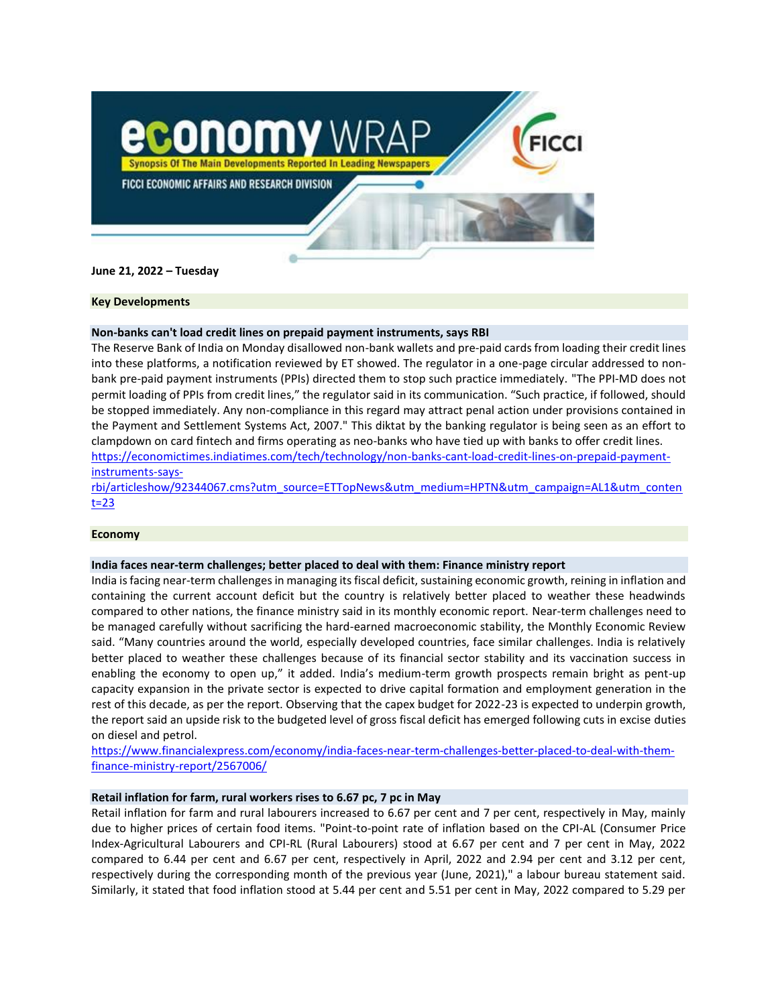

**June 21, 2022 – Tuesday**

## **Key Developments**

## **Non-banks can't load credit lines on prepaid payment instruments, says RBI**

The Reserve Bank of India on Monday disallowed non-bank wallets and pre-paid cards from loading their credit lines into these platforms, a notification reviewed by ET showed. The regulator in a one-page circular addressed to nonbank pre-paid payment instruments (PPIs) directed them to stop such practice immediately. "The PPI-MD does not permit loading of PPIs from credit lines," the regulator said in its communication. "Such practice, if followed, should be stopped immediately. Any non-compliance in this regard may attract penal action under provisions contained in the Payment and Settlement Systems Act, 2007." This diktat by the banking regulator is being seen as an effort to clampdown on card fintech and firms operating as neo-banks who have tied up with banks to offer credit lines. [https://economictimes.indiatimes.com/tech/technology/non-banks-cant-load-credit-lines-on-prepaid-payment](https://economictimes.indiatimes.com/tech/technology/non-banks-cant-load-credit-lines-on-prepaid-payment-instruments-says-rbi/articleshow/92344067.cms?utm_source=ETTopNews&utm_medium=HPTN&utm_campaign=AL1&utm_content=23)[instruments-says-](https://economictimes.indiatimes.com/tech/technology/non-banks-cant-load-credit-lines-on-prepaid-payment-instruments-says-rbi/articleshow/92344067.cms?utm_source=ETTopNews&utm_medium=HPTN&utm_campaign=AL1&utm_content=23)

[rbi/articleshow/92344067.cms?utm\\_source=ETTopNews&utm\\_medium=HPTN&utm\\_campaign=AL1&utm\\_conten](https://economictimes.indiatimes.com/tech/technology/non-banks-cant-load-credit-lines-on-prepaid-payment-instruments-says-rbi/articleshow/92344067.cms?utm_source=ETTopNews&utm_medium=HPTN&utm_campaign=AL1&utm_content=23)  $t=23$ 

### **Economy**

### **India faces near-term challenges; better placed to deal with them: Finance ministry report**

India is facing near-term challenges in managing its fiscal deficit, sustaining economic growth, reining in inflation and containing the current account deficit but the country is relatively better placed to weather these headwinds compared to other nations, the finance ministry said in its monthly economic report. Near-term challenges need to be managed carefully without sacrificing the hard-earned macroeconomic stability, the Monthly Economic Review said. "Many countries around the world, especially developed countries, face similar challenges. India is relatively better placed to weather these challenges because of its financial sector stability and its vaccination success in enabling the economy to open up," it added. India's medium-term growth prospects remain bright as pent-up capacity expansion in the private sector is expected to drive capital formation and employment generation in the rest of this decade, as per the report. Observing that the capex budget for 2022-23 is expected to underpin growth, the report said an upside risk to the budgeted level of gross fiscal deficit has emerged following cuts in excise duties on diesel and petrol.

[https://www.financialexpress.com/economy/india-faces-near-term-challenges-better-placed-to-deal-with-them](https://www.financialexpress.com/economy/india-faces-near-term-challenges-better-placed-to-deal-with-them-finance-ministry-report/2567006/)[finance-ministry-report/2567006/](https://www.financialexpress.com/economy/india-faces-near-term-challenges-better-placed-to-deal-with-them-finance-ministry-report/2567006/)

### **Retail inflation for farm, rural workers rises to 6.67 pc, 7 pc in May**

Retail inflation for farm and rural labourers increased to 6.67 per cent and 7 per cent, respectively in May, mainly due to higher prices of certain food items. "Point-to-point rate of inflation based on the CPI-AL (Consumer Price Index-Agricultural Labourers and CPI-RL (Rural Labourers) stood at 6.67 per cent and 7 per cent in May, 2022 compared to 6.44 per cent and 6.67 per cent, respectively in April, 2022 and 2.94 per cent and 3.12 per cent, respectively during the corresponding month of the previous year (June, 2021)," a labour bureau statement said. Similarly, it stated that food inflation stood at 5.44 per cent and 5.51 per cent in May, 2022 compared to 5.29 per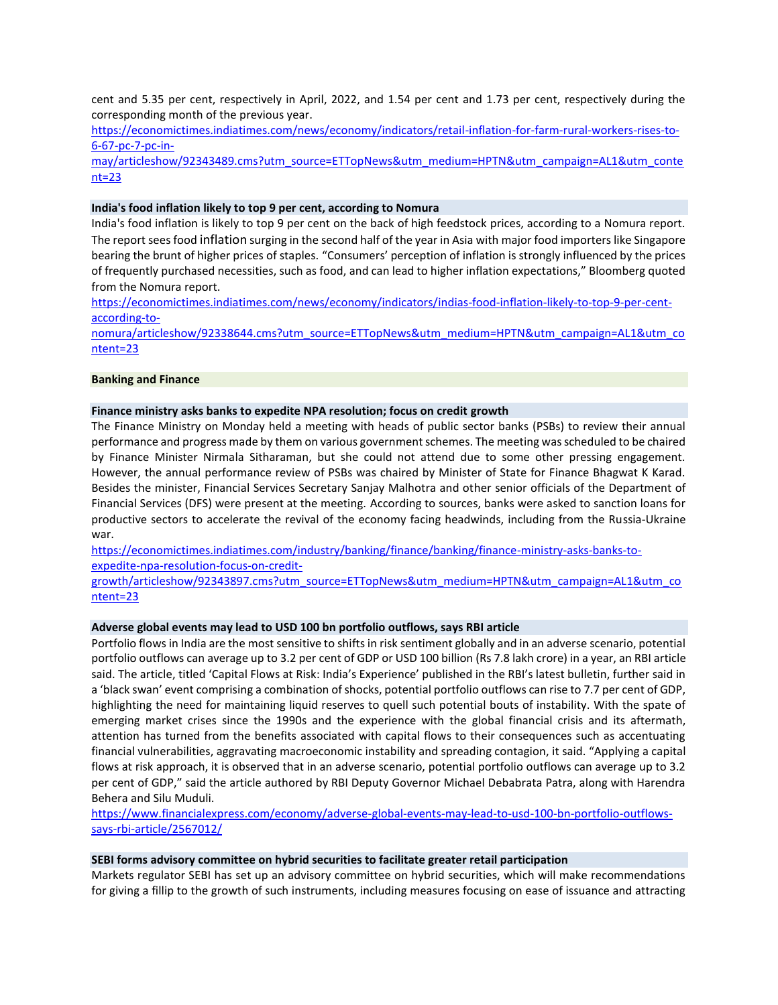cent and 5.35 per cent, respectively in April, 2022, and 1.54 per cent and 1.73 per cent, respectively during the corresponding month of the previous year.

[https://economictimes.indiatimes.com/news/economy/indicators/retail-inflation-for-farm-rural-workers-rises-to-](https://economictimes.indiatimes.com/news/economy/indicators/retail-inflation-for-farm-rural-workers-rises-to-6-67-pc-7-pc-in-may/articleshow/92343489.cms?utm_source=ETTopNews&utm_medium=HPTN&utm_campaign=AL1&utm_content=23)[6-67-pc-7-pc-in-](https://economictimes.indiatimes.com/news/economy/indicators/retail-inflation-for-farm-rural-workers-rises-to-6-67-pc-7-pc-in-may/articleshow/92343489.cms?utm_source=ETTopNews&utm_medium=HPTN&utm_campaign=AL1&utm_content=23)

[may/articleshow/92343489.cms?utm\\_source=ETTopNews&utm\\_medium=HPTN&utm\\_campaign=AL1&utm\\_conte](https://economictimes.indiatimes.com/news/economy/indicators/retail-inflation-for-farm-rural-workers-rises-to-6-67-pc-7-pc-in-may/articleshow/92343489.cms?utm_source=ETTopNews&utm_medium=HPTN&utm_campaign=AL1&utm_content=23) [nt=23](https://economictimes.indiatimes.com/news/economy/indicators/retail-inflation-for-farm-rural-workers-rises-to-6-67-pc-7-pc-in-may/articleshow/92343489.cms?utm_source=ETTopNews&utm_medium=HPTN&utm_campaign=AL1&utm_content=23)

**India's food inflation likely to top 9 per cent, according to Nomura**

India's food inflation is likely to top 9 per cent on the back of high feedstock prices, according to a Nomura report. The report sees food inflation surging in the second half of the year in Asia with major food importers like Singapore bearing the brunt of higher prices of staples. "Consumers' perception of inflation is strongly influenced by the prices of frequently purchased necessities, such as food, and can lead to higher inflation expectations," Bloomberg quoted from the Nomura report.

[https://economictimes.indiatimes.com/news/economy/indicators/indias-food-inflation-likely-to-top-9-per-cent](https://economictimes.indiatimes.com/news/economy/indicators/indias-food-inflation-likely-to-top-9-per-cent-according-to-nomura/articleshow/92338644.cms?utm_source=ETTopNews&utm_medium=HPTN&utm_campaign=AL1&utm_content=23)[according-to-](https://economictimes.indiatimes.com/news/economy/indicators/indias-food-inflation-likely-to-top-9-per-cent-according-to-nomura/articleshow/92338644.cms?utm_source=ETTopNews&utm_medium=HPTN&utm_campaign=AL1&utm_content=23)

[nomura/articleshow/92338644.cms?utm\\_source=ETTopNews&utm\\_medium=HPTN&utm\\_campaign=AL1&utm\\_co](https://economictimes.indiatimes.com/news/economy/indicators/indias-food-inflation-likely-to-top-9-per-cent-according-to-nomura/articleshow/92338644.cms?utm_source=ETTopNews&utm_medium=HPTN&utm_campaign=AL1&utm_content=23) [ntent=23](https://economictimes.indiatimes.com/news/economy/indicators/indias-food-inflation-likely-to-top-9-per-cent-according-to-nomura/articleshow/92338644.cms?utm_source=ETTopNews&utm_medium=HPTN&utm_campaign=AL1&utm_content=23)

## **Banking and Finance**

### **Finance ministry asks banks to expedite NPA resolution; focus on credit growth**

The Finance Ministry on Monday held a meeting with heads of public sector banks (PSBs) to review their annual performance and progress made by them on various government schemes. The meeting was scheduled to be chaired by Finance Minister Nirmala Sitharaman, but she could not attend due to some other pressing engagement. However, the annual performance review of PSBs was chaired by Minister of State for Finance Bhagwat K Karad. Besides the minister, Financial Services Secretary Sanjay Malhotra and other senior officials of the Department of Financial Services (DFS) were present at the meeting. According to sources, banks were asked to sanction loans for productive sectors to accelerate the revival of the economy facing headwinds, including from the Russia-Ukraine war.

[https://economictimes.indiatimes.com/industry/banking/finance/banking/finance-ministry-asks-banks-to](https://economictimes.indiatimes.com/industry/banking/finance/banking/finance-ministry-asks-banks-to-expedite-npa-resolution-focus-on-credit-growth/articleshow/92343897.cms?utm_source=ETTopNews&utm_medium=HPTN&utm_campaign=AL1&utm_content=23)[expedite-npa-resolution-focus-on-credit-](https://economictimes.indiatimes.com/industry/banking/finance/banking/finance-ministry-asks-banks-to-expedite-npa-resolution-focus-on-credit-growth/articleshow/92343897.cms?utm_source=ETTopNews&utm_medium=HPTN&utm_campaign=AL1&utm_content=23)

[growth/articleshow/92343897.cms?utm\\_source=ETTopNews&utm\\_medium=HPTN&utm\\_campaign=AL1&utm\\_co](https://economictimes.indiatimes.com/industry/banking/finance/banking/finance-ministry-asks-banks-to-expedite-npa-resolution-focus-on-credit-growth/articleshow/92343897.cms?utm_source=ETTopNews&utm_medium=HPTN&utm_campaign=AL1&utm_content=23) [ntent=23](https://economictimes.indiatimes.com/industry/banking/finance/banking/finance-ministry-asks-banks-to-expedite-npa-resolution-focus-on-credit-growth/articleshow/92343897.cms?utm_source=ETTopNews&utm_medium=HPTN&utm_campaign=AL1&utm_content=23)

# **Adverse global events may lead to USD 100 bn portfolio outflows, says RBI article**

Portfolio flows in India are the most sensitive to shifts in risk sentiment globally and in an adverse scenario, potential portfolio outflows can average up to 3.2 per cent of GDP or USD 100 billion (Rs 7.8 lakh crore) in a year, an RBI article said. The article, titled 'Capital Flows at Risk: India's Experience' published in the RBI's latest bulletin, further said in a 'black swan' event comprising a combination of shocks, potential portfolio outflows can rise to 7.7 per cent of GDP, highlighting the need for maintaining liquid reserves to quell such potential bouts of instability. With the spate of emerging market crises since the 1990s and the experience with the global financial crisis and its aftermath, attention has turned from the benefits associated with capital flows to their consequences such as accentuating financial vulnerabilities, aggravating macroeconomic instability and spreading contagion, it said. "Applying a capital flows at risk approach, it is observed that in an adverse scenario, potential portfolio outflows can average up to 3.2 per cent of GDP," said the article authored by RBI Deputy Governor Michael Debabrata Patra, along with Harendra Behera and Silu Muduli.

[https://www.financialexpress.com/economy/adverse-global-events-may-lead-to-usd-100-bn-portfolio-outflows](https://www.financialexpress.com/economy/adverse-global-events-may-lead-to-usd-100-bn-portfolio-outflows-says-rbi-article/2567012/)[says-rbi-article/2567012/](https://www.financialexpress.com/economy/adverse-global-events-may-lead-to-usd-100-bn-portfolio-outflows-says-rbi-article/2567012/)

### **SEBI forms advisory committee on hybrid securities to facilitate greater retail participation**

Markets regulator SEBI has set up an advisory committee on hybrid securities, which will make recommendations for giving a fillip to the growth of such instruments, including measures focusing on ease of issuance and attracting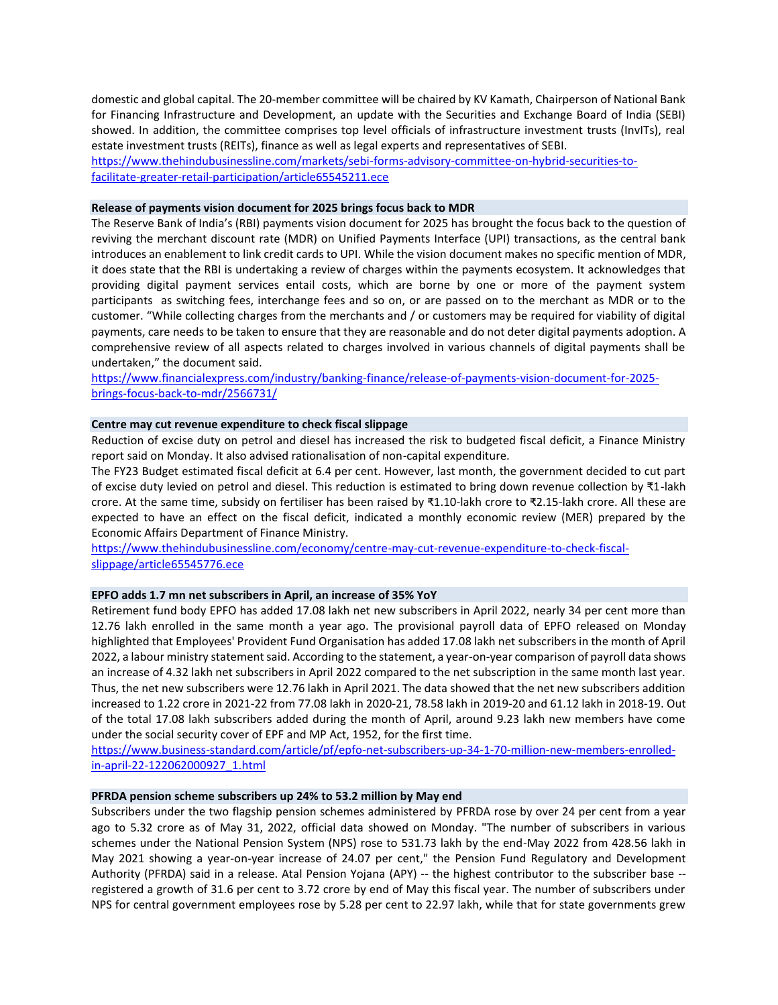domestic and global capital. The 20-member committee will be chaired by KV Kamath, Chairperson of National Bank for Financing Infrastructure and Development, an update with the Securities and Exchange Board of India (SEBI) showed. In addition, the committee comprises top level officials of infrastructure investment trusts (InvITs), real estate investment trusts (REITs), finance as well as legal experts and representatives of SEBI. [https://www.thehindubusinessline.com/markets/sebi-forms-advisory-committee-on-hybrid-securities-to-](https://www.thehindubusinessline.com/markets/sebi-forms-advisory-committee-on-hybrid-securities-to-facilitate-greater-retail-participation/article65545211.ece)

[facilitate-greater-retail-participation/article65545211.ece](https://www.thehindubusinessline.com/markets/sebi-forms-advisory-committee-on-hybrid-securities-to-facilitate-greater-retail-participation/article65545211.ece)

## **Release of payments vision document for 2025 brings focus back to MDR**

The Reserve Bank of India's (RBI) payments vision document for 2025 has brought the focus back to the question of reviving the merchant discount rate (MDR) on Unified Payments Interface (UPI) transactions, as the central bank introduces an enablement to link credit cards to UPI. While the vision document makes no specific mention of MDR, it does state that the RBI is undertaking a review of charges within the payments ecosystem. It acknowledges that providing digital payment services entail costs, which are borne by one or more of the payment system participants as switching fees, interchange fees and so on, or are passed on to the merchant as MDR or to the customer. "While collecting charges from the merchants and / or customers may be required for viability of digital payments, care needs to be taken to ensure that they are reasonable and do not deter digital payments adoption. A comprehensive review of all aspects related to charges involved in various channels of digital payments shall be undertaken," the document said.

[https://www.financialexpress.com/industry/banking-finance/release-of-payments-vision-document-for-2025](https://www.financialexpress.com/industry/banking-finance/release-of-payments-vision-document-for-2025-brings-focus-back-to-mdr/2566731/) [brings-focus-back-to-mdr/2566731/](https://www.financialexpress.com/industry/banking-finance/release-of-payments-vision-document-for-2025-brings-focus-back-to-mdr/2566731/)

## **Centre may cut revenue expenditure to check fiscal slippage**

Reduction of excise duty on petrol and diesel has increased the risk to budgeted fiscal deficit, a Finance Ministry report said on Monday. It also advised rationalisation of non-capital expenditure.

The FY23 Budget estimated fiscal deficit at 6.4 per cent. However, last month, the government decided to cut part of excise duty levied on petrol and diesel. This reduction is estimated to bring down revenue collection by ₹1-lakh crore. At the same time, subsidy on fertiliser has been raised by ₹1.10-lakh crore to ₹2.15-lakh crore. All these are expected to have an effect on the fiscal deficit, indicated a monthly economic review (MER) prepared by the Economic Affairs Department of Finance Ministry.

[https://www.thehindubusinessline.com/economy/centre-may-cut-revenue-expenditure-to-check-fiscal](https://www.thehindubusinessline.com/economy/centre-may-cut-revenue-expenditure-to-check-fiscal-slippage/article65545776.ece)[slippage/article65545776.ece](https://www.thehindubusinessline.com/economy/centre-may-cut-revenue-expenditure-to-check-fiscal-slippage/article65545776.ece)

## **EPFO adds 1.7 mn net subscribers in April, an increase of 35% YoY**

Retirement fund body EPFO has added 17.08 lakh net new subscribers in April 2022, nearly 34 per cent more than 12.76 lakh enrolled in the same month a year ago. The provisional payroll data of EPFO released on Monday highlighted that Employees' Provident Fund Organisation has added 17.08 lakh net subscribers in the month of April 2022, a labour ministry statement said. According to the statement, a year-on-year comparison of payroll data shows an increase of 4.32 lakh net subscribers in April 2022 compared to the net subscription in the same month last year. Thus, the net new subscribers were 12.76 lakh in April 2021. The data showed that the net new subscribers addition increased to 1.22 crore in 2021-22 from 77.08 lakh in 2020-21, 78.58 lakh in 2019-20 and 61.12 lakh in 2018-19. Out of the total 17.08 lakh subscribers added during the month of April, around 9.23 lakh new members have come under the social security cover of EPF and MP Act, 1952, for the first time.

[https://www.business-standard.com/article/pf/epfo-net-subscribers-up-34-1-70-million-new-members-enrolled](https://www.business-standard.com/article/pf/epfo-net-subscribers-up-34-1-70-million-new-members-enrolled-in-april-22-122062000927_1.html)[in-april-22-122062000927\\_1.html](https://www.business-standard.com/article/pf/epfo-net-subscribers-up-34-1-70-million-new-members-enrolled-in-april-22-122062000927_1.html)

## **PFRDA pension scheme subscribers up 24% to 53.2 million by May end**

Subscribers under the two flagship pension schemes administered by PFRDA rose by over 24 per cent from a year ago to 5.32 crore as of May 31, 2022, official data showed on Monday. "The number of subscribers in various schemes under the National Pension System (NPS) rose to 531.73 lakh by the end-May 2022 from 428.56 lakh in May 2021 showing a year-on-year increase of 24.07 per cent," the Pension Fund Regulatory and Development Authority (PFRDA) said in a release. Atal Pension Yojana (APY) -- the highest contributor to the subscriber base - registered a growth of 31.6 per cent to 3.72 crore by end of May this fiscal year. The number of subscribers under NPS for central government employees rose by 5.28 per cent to 22.97 lakh, while that for state governments grew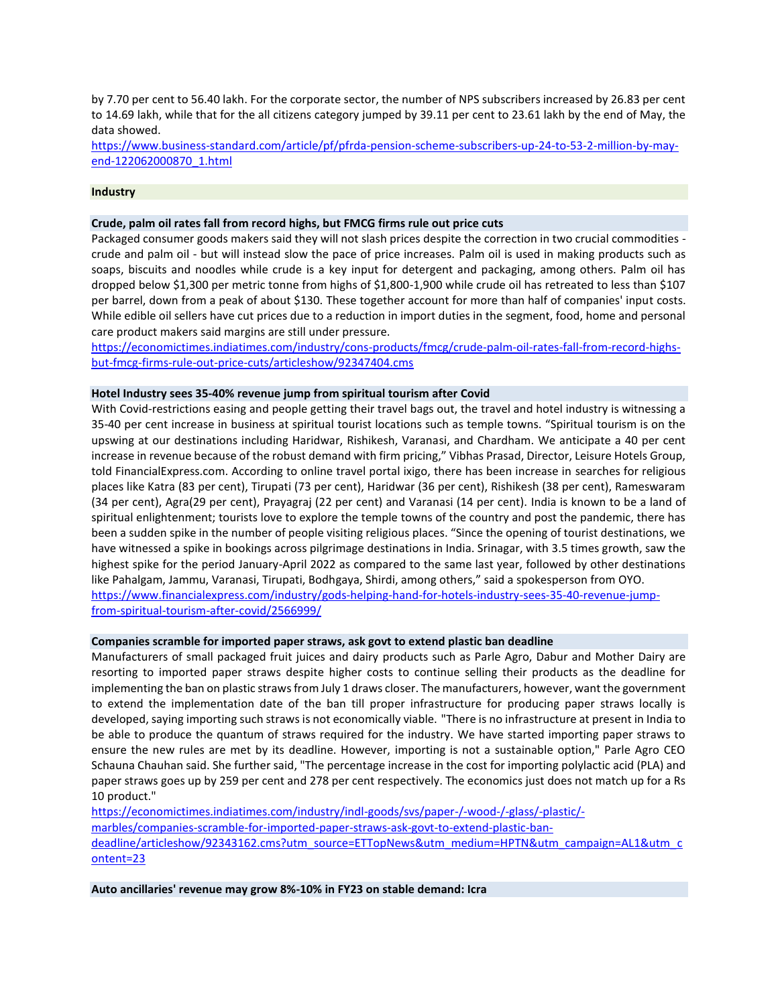by 7.70 per cent to 56.40 lakh. For the corporate sector, the number of NPS subscribers increased by 26.83 per cent to 14.69 lakh, while that for the all citizens category jumped by 39.11 per cent to 23.61 lakh by the end of May, the data showed.

[https://www.business-standard.com/article/pf/pfrda-pension-scheme-subscribers-up-24-to-53-2-million-by-may](https://www.business-standard.com/article/pf/pfrda-pension-scheme-subscribers-up-24-to-53-2-million-by-may-end-122062000870_1.html)[end-122062000870\\_1.html](https://www.business-standard.com/article/pf/pfrda-pension-scheme-subscribers-up-24-to-53-2-million-by-may-end-122062000870_1.html)

## **Industry**

## **Crude, palm oil rates fall from record highs, but FMCG firms rule out price cuts**

Packaged consumer goods makers said they will not slash prices despite the correction in two crucial commodities crude and palm oil - but will instead slow the pace of price increases. Palm oil is used in making products such as soaps, biscuits and noodles while crude is a key input for detergent and packaging, among others. Palm oil has dropped below \$1,300 per metric tonne from highs of \$1,800-1,900 while crude oil has retreated to less than \$107 per barrel, down from a peak of about \$130. These together account for more than half of companies' input costs. While edible oil sellers have cut prices due to a reduction in import duties in the segment, food, home and personal care product makers said margins are still under pressure.

[https://economictimes.indiatimes.com/industry/cons-products/fmcg/crude-palm-oil-rates-fall-from-record-highs](https://economictimes.indiatimes.com/industry/cons-products/fmcg/crude-palm-oil-rates-fall-from-record-highs-but-fmcg-firms-rule-out-price-cuts/articleshow/92347404.cms)[but-fmcg-firms-rule-out-price-cuts/articleshow/92347404.cms](https://economictimes.indiatimes.com/industry/cons-products/fmcg/crude-palm-oil-rates-fall-from-record-highs-but-fmcg-firms-rule-out-price-cuts/articleshow/92347404.cms)

## **Hotel Industry sees 35-40% revenue jump from spiritual tourism after Covid**

With Covid-restrictions easing and people getting their travel bags out, the travel and hotel industry is witnessing a 35-40 per cent increase in business at spiritual tourist locations such as temple towns. "Spiritual tourism is on the upswing at our destinations including Haridwar, Rishikesh, Varanasi, and Chardham. We anticipate a 40 per cent increase in revenue because of the robust demand with firm pricing," Vibhas Prasad, Director, Leisure Hotels Group, told FinancialExpress.com. According to online travel portal ixigo, there has been increase in searches for religious places like Katra (83 per cent), Tirupati (73 per cent), Haridwar (36 per cent), Rishikesh (38 per cent), Rameswaram (34 per cent), Agra(29 per cent), Prayagraj (22 per cent) and Varanasi (14 per cent). India is known to be a land of spiritual enlightenment; tourists love to explore the temple towns of the country and post the pandemic, there has been a sudden spike in the number of people visiting religious places. "Since the opening of tourist destinations, we have witnessed a spike in bookings across pilgrimage destinations in India. Srinagar, with 3.5 times growth, saw the highest spike for the period January-April 2022 as compared to the same last year, followed by other destinations like Pahalgam, Jammu, Varanasi, Tirupati, Bodhgaya, Shirdi, among others," said a spokesperson from OYO. [https://www.financialexpress.com/industry/gods-helping-hand-for-hotels-industry-sees-35-40-revenue-jump-](https://www.financialexpress.com/industry/gods-helping-hand-for-hotels-industry-sees-35-40-revenue-jump-from-spiritual-tourism-after-covid/2566999/)

[from-spiritual-tourism-after-covid/2566999/](https://www.financialexpress.com/industry/gods-helping-hand-for-hotels-industry-sees-35-40-revenue-jump-from-spiritual-tourism-after-covid/2566999/)

### **Companies scramble for imported paper straws, ask govt to extend plastic ban deadline**

Manufacturers of small packaged fruit juices and dairy products such as Parle Agro, Dabur and Mother Dairy are resorting to imported paper straws despite higher costs to continue selling their products as the deadline for implementing the ban on plastic straws from July 1 draws closer. The manufacturers, however, want the government to extend the implementation date of the ban till proper infrastructure for producing paper straws locally is developed, saying importing such straws is not economically viable. "There is no infrastructure at present in India to be able to produce the quantum of straws required for the industry. We have started importing paper straws to ensure the new rules are met by its deadline. However, importing is not a sustainable option," Parle Agro CEO Schauna Chauhan said. She further said, "The percentage increase in the cost for importing polylactic acid (PLA) and paper straws goes up by 259 per cent and 278 per cent respectively. The economics just does not match up for a Rs 10 product."

[https://economictimes.indiatimes.com/industry/indl-goods/svs/paper-/-wood-/-glass/-plastic/](https://economictimes.indiatimes.com/industry/indl-goods/svs/paper-/-wood-/-glass/-plastic/-marbles/companies-scramble-for-imported-paper-straws-ask-govt-to-extend-plastic-ban-deadline/articleshow/92343162.cms?utm_source=ETTopNews&utm_medium=HPTN&utm_campaign=AL1&utm_content=23) [marbles/companies-scramble-for-imported-paper-straws-ask-govt-to-extend-plastic-ban](https://economictimes.indiatimes.com/industry/indl-goods/svs/paper-/-wood-/-glass/-plastic/-marbles/companies-scramble-for-imported-paper-straws-ask-govt-to-extend-plastic-ban-deadline/articleshow/92343162.cms?utm_source=ETTopNews&utm_medium=HPTN&utm_campaign=AL1&utm_content=23)[deadline/articleshow/92343162.cms?utm\\_source=ETTopNews&utm\\_medium=HPTN&utm\\_campaign=AL1&utm\\_c](https://economictimes.indiatimes.com/industry/indl-goods/svs/paper-/-wood-/-glass/-plastic/-marbles/companies-scramble-for-imported-paper-straws-ask-govt-to-extend-plastic-ban-deadline/articleshow/92343162.cms?utm_source=ETTopNews&utm_medium=HPTN&utm_campaign=AL1&utm_content=23) [ontent=23](https://economictimes.indiatimes.com/industry/indl-goods/svs/paper-/-wood-/-glass/-plastic/-marbles/companies-scramble-for-imported-paper-straws-ask-govt-to-extend-plastic-ban-deadline/articleshow/92343162.cms?utm_source=ETTopNews&utm_medium=HPTN&utm_campaign=AL1&utm_content=23)

**Auto ancillaries' revenue may grow 8%-10% in FY23 on stable demand: Icra**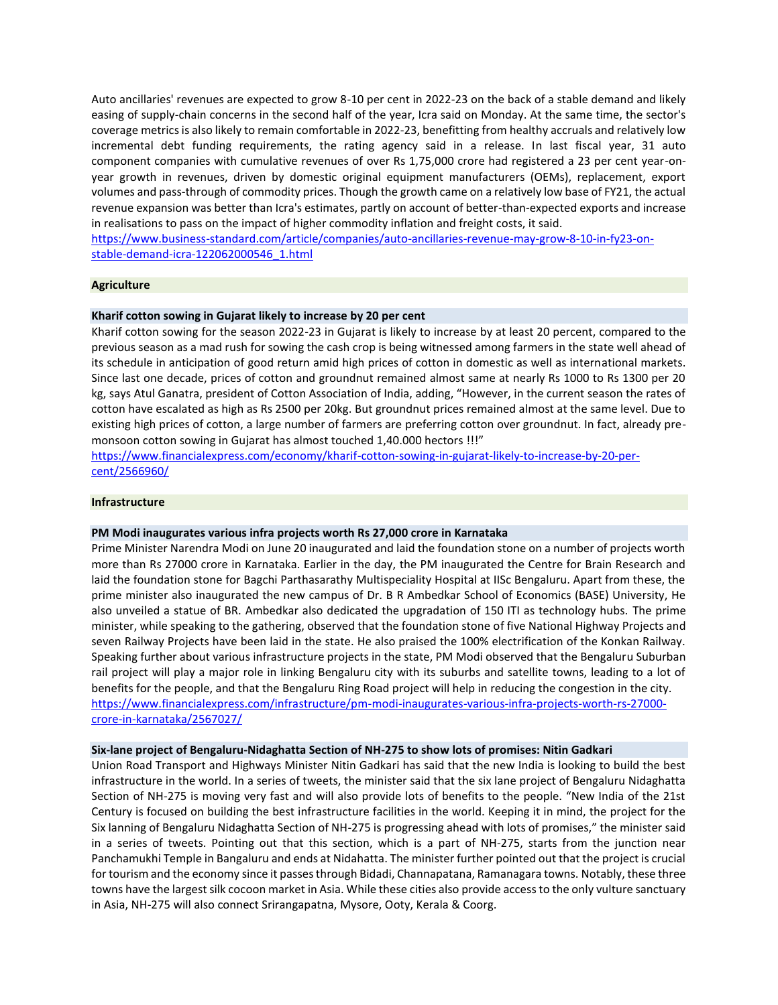Auto ancillaries' revenues are expected to grow 8-10 per cent in 2022-23 on the back of a stable demand and likely easing of supply-chain concerns in the second half of the year, Icra said on Monday. At the same time, the sector's coverage metrics is also likely to remain comfortable in 2022-23, benefitting from healthy accruals and relatively low incremental debt funding requirements, the rating agency said in a release. In last fiscal year, 31 auto component companies with cumulative revenues of over Rs 1,75,000 crore had registered a 23 per cent year-onyear growth in revenues, driven by domestic original equipment manufacturers (OEMs), replacement, export volumes and pass-through of commodity prices. Though the growth came on a relatively low base of FY21, the actual revenue expansion was better than Icra's estimates, partly on account of better-than-expected exports and increase in realisations to pass on the impact of higher commodity inflation and freight costs, it said.

[https://www.business-standard.com/article/companies/auto-ancillaries-revenue-may-grow-8-10-in-fy23-on](https://www.business-standard.com/article/companies/auto-ancillaries-revenue-may-grow-8-10-in-fy23-on-stable-demand-icra-122062000546_1.html)[stable-demand-icra-122062000546\\_1.html](https://www.business-standard.com/article/companies/auto-ancillaries-revenue-may-grow-8-10-in-fy23-on-stable-demand-icra-122062000546_1.html)

## **Agriculture**

## **Kharif cotton sowing in Gujarat likely to increase by 20 per cent**

Kharif cotton sowing for the season 2022-23 in Gujarat is likely to increase by at least 20 percent, compared to the previous season as a mad rush for sowing the cash crop is being witnessed among farmers in the state well ahead of its schedule in anticipation of good return amid high prices of cotton in domestic as well as international markets. Since last one decade, prices of cotton and groundnut remained almost same at nearly Rs 1000 to Rs 1300 per 20 kg, says Atul Ganatra, president of Cotton Association of India, adding, "However, in the current season the rates of cotton have escalated as high as Rs 2500 per 20kg. But groundnut prices remained almost at the same level. Due to existing high prices of cotton, a large number of farmers are preferring cotton over groundnut. In fact, already premonsoon cotton sowing in Gujarat has almost touched 1,40.000 hectors !!!"

[https://www.financialexpress.com/economy/kharif-cotton-sowing-in-gujarat-likely-to-increase-by-20-per](https://www.financialexpress.com/economy/kharif-cotton-sowing-in-gujarat-likely-to-increase-by-20-per-cent/2566960/)[cent/2566960/](https://www.financialexpress.com/economy/kharif-cotton-sowing-in-gujarat-likely-to-increase-by-20-per-cent/2566960/)

## **Infrastructure**

### **PM Modi inaugurates various infra projects worth Rs 27,000 crore in Karnataka**

Prime Minister Narendra Modi on June 20 inaugurated and laid the foundation stone on a number of projects worth more than Rs 27000 crore in Karnataka. Earlier in the day, the PM inaugurated the Centre for Brain Research and laid the foundation stone for Bagchi Parthasarathy Multispeciality Hospital at IISc Bengaluru. Apart from these, the prime minister also inaugurated the new campus of Dr. B R Ambedkar School of Economics (BASE) University, He also unveiled a statue of BR. Ambedkar also dedicated the upgradation of 150 ITI as technology hubs. The prime minister, while speaking to the gathering, observed that the foundation stone of five National Highway Projects and seven Railway Projects have been laid in the state. He also praised the 100% electrification of the Konkan Railway. Speaking further about various infrastructure projects in the state, PM Modi observed that the Bengaluru Suburban rail project will play a major role in linking Bengaluru city with its suburbs and satellite towns, leading to a lot of benefits for the people, and that the Bengaluru Ring Road project will help in reducing the congestion in the city. [https://www.financialexpress.com/infrastructure/pm-modi-inaugurates-various-infra-projects-worth-rs-27000](https://www.financialexpress.com/infrastructure/pm-modi-inaugurates-various-infra-projects-worth-rs-27000-crore-in-karnataka/2567027/) [crore-in-karnataka/2567027/](https://www.financialexpress.com/infrastructure/pm-modi-inaugurates-various-infra-projects-worth-rs-27000-crore-in-karnataka/2567027/)

#### **Six-lane project of Bengaluru-Nidaghatta Section of NH-275 to show lots of promises: Nitin Gadkari**

Union Road Transport and Highways Minister Nitin Gadkari has said that the new India is looking to build the best infrastructure in the world. In a series of tweets, the minister said that the six lane project of Bengaluru Nidaghatta Section of NH-275 is moving very fast and will also provide lots of benefits to the people. "New India of the 21st Century is focused on building the best infrastructure facilities in the world. Keeping it in mind, the project for the Six lanning of Bengaluru Nidaghatta Section of NH-275 is progressing ahead with lots of promises," the minister said in a series of tweets. Pointing out that this section, which is a part of NH-275, starts from the junction near Panchamukhi Temple in Bangaluru and ends at Nidahatta. The minister further pointed out that the project is crucial for tourism and the economy since it passes through Bidadi, Channapatana, Ramanagara towns. Notably, these three towns have the largest silk cocoon market in Asia. While these cities also provide access to the only vulture sanctuary in Asia, NH-275 will also connect Srirangapatna, Mysore, Ooty, Kerala & Coorg.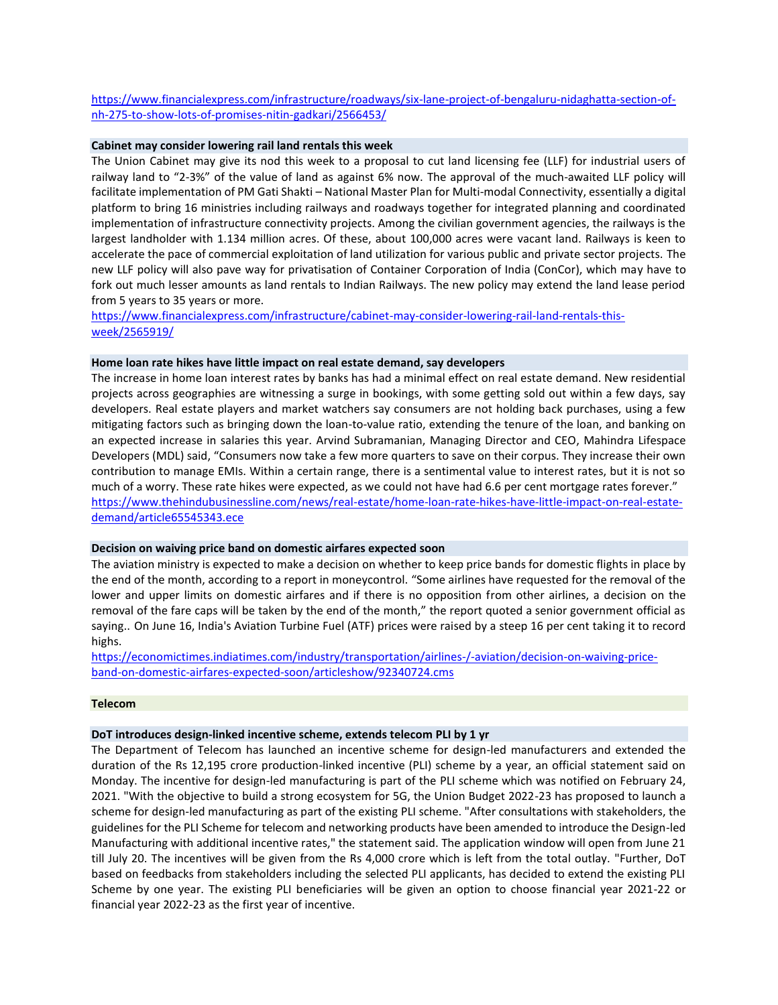[https://www.financialexpress.com/infrastructure/roadways/six-lane-project-of-bengaluru-nidaghatta-section-of](https://www.financialexpress.com/infrastructure/roadways/six-lane-project-of-bengaluru-nidaghatta-section-of-nh-275-to-show-lots-of-promises-nitin-gadkari/2566453/)[nh-275-to-show-lots-of-promises-nitin-gadkari/2566453/](https://www.financialexpress.com/infrastructure/roadways/six-lane-project-of-bengaluru-nidaghatta-section-of-nh-275-to-show-lots-of-promises-nitin-gadkari/2566453/)

### **Cabinet may consider lowering rail land rentals this week**

The Union Cabinet may give its nod this week to a proposal to cut land licensing fee (LLF) for industrial users of railway land to "2-3%" of the value of land as against 6% now. The approval of the much-awaited LLF policy will facilitate implementation of PM Gati Shakti – National Master Plan for Multi-modal Connectivity, essentially a digital platform to bring 16 ministries including railways and roadways together for integrated planning and coordinated implementation of infrastructure connectivity projects. Among the civilian government agencies, the railways is the largest landholder with 1.134 million acres. Of these, about 100,000 acres were vacant land. Railways is keen to accelerate the pace of commercial exploitation of land utilization for various public and private sector projects. The new LLF policy will also pave way for privatisation of Container Corporation of India (ConCor), which may have to fork out much lesser amounts as land rentals to Indian Railways. The new policy may extend the land lease period from 5 years to 35 years or more.

# [https://www.financialexpress.com/infrastructure/cabinet-may-consider-lowering-rail-land-rentals-this](https://www.financialexpress.com/infrastructure/cabinet-may-consider-lowering-rail-land-rentals-this-week/2565919/)[week/2565919/](https://www.financialexpress.com/infrastructure/cabinet-may-consider-lowering-rail-land-rentals-this-week/2565919/)

### **Home loan rate hikes have little impact on real estate demand, say developers**

The increase in home loan interest rates by banks has had a minimal effect on real estate demand. New residential projects across geographies are witnessing a surge in bookings, with some getting sold out within a few days, say developers. Real estate players and market watchers say consumers are not holding back purchases, using a few mitigating factors such as bringing down the loan-to-value ratio, extending the tenure of the loan, and banking on an expected increase in salaries this year. Arvind Subramanian, Managing Director and CEO, Mahindra Lifespace Developers (MDL) said, "Consumers now take a few more quarters to save on their corpus. They increase their own contribution to manage EMIs. Within a certain range, there is a sentimental value to interest rates, but it is not so much of a worry. These rate hikes were expected, as we could not have had 6.6 per cent mortgage rates forever." [https://www.thehindubusinessline.com/news/real-estate/home-loan-rate-hikes-have-little-impact-on-real-estate](https://www.thehindubusinessline.com/news/real-estate/home-loan-rate-hikes-have-little-impact-on-real-estate-demand/article65545343.ece)[demand/article65545343.ece](https://www.thehindubusinessline.com/news/real-estate/home-loan-rate-hikes-have-little-impact-on-real-estate-demand/article65545343.ece)

### **Decision on waiving price band on domestic airfares expected soon**

The aviation ministry is expected to make a decision on whether to keep price bands for domestic flights in place by the end of the month, according to a report in moneycontrol. "Some airlines have requested for the removal of the lower and upper limits on domestic airfares and if there is no opposition from other airlines, a decision on the removal of the fare caps will be taken by the end of the month," the report quoted a senior government official as saying.. On June 16, India's Aviation Turbine Fuel (ATF) prices were raised by a steep 16 per cent taking it to record highs.

[https://economictimes.indiatimes.com/industry/transportation/airlines-/-aviation/decision-on-waiving-price](https://economictimes.indiatimes.com/industry/transportation/airlines-/-aviation/decision-on-waiving-price-band-on-domestic-airfares-expected-soon/articleshow/92340724.cms)[band-on-domestic-airfares-expected-soon/articleshow/92340724.cms](https://economictimes.indiatimes.com/industry/transportation/airlines-/-aviation/decision-on-waiving-price-band-on-domestic-airfares-expected-soon/articleshow/92340724.cms)

### **Telecom**

### **DoT introduces design-linked incentive scheme, extends telecom PLI by 1 yr**

The Department of Telecom has launched an incentive scheme for design-led manufacturers and extended the duration of the Rs 12,195 crore production-linked incentive (PLI) scheme by a year, an official statement said on Monday. The incentive for design-led manufacturing is part of the PLI scheme which was notified on February 24, 2021. "With the objective to build a strong ecosystem for 5G, the Union Budget 2022-23 has proposed to launch a scheme for design-led manufacturing as part of the existing PLI scheme. "After consultations with stakeholders, the guidelines for the PLI Scheme for telecom and networking products have been amended to introduce the Design-led Manufacturing with additional incentive rates," the statement said. The application window will open from June 21 till July 20. The incentives will be given from the Rs 4,000 crore which is left from the total outlay. "Further, DoT based on feedbacks from stakeholders including the selected PLI applicants, has decided to extend the existing PLI Scheme by one year. The existing PLI beneficiaries will be given an option to choose financial year 2021-22 or financial year 2022-23 as the first year of incentive.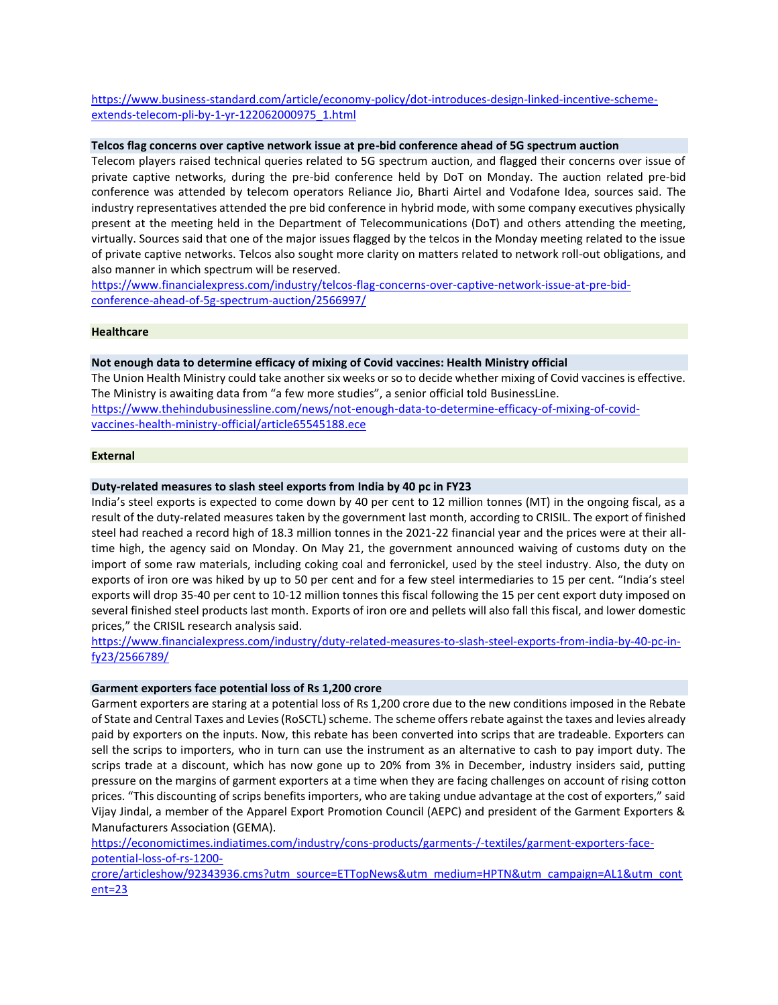[https://www.business-standard.com/article/economy-policy/dot-introduces-design-linked-incentive-scheme](https://www.business-standard.com/article/economy-policy/dot-introduces-design-linked-incentive-scheme-extends-telecom-pli-by-1-yr-122062000975_1.html)[extends-telecom-pli-by-1-yr-122062000975\\_1.html](https://www.business-standard.com/article/economy-policy/dot-introduces-design-linked-incentive-scheme-extends-telecom-pli-by-1-yr-122062000975_1.html)

### **Telcos flag concerns over captive network issue at pre-bid conference ahead of 5G spectrum auction**

Telecom players raised technical queries related to 5G spectrum auction, and flagged their concerns over issue of private captive networks, during the pre-bid conference held by DoT on Monday. The auction related pre-bid conference was attended by telecom operators Reliance Jio, Bharti Airtel and Vodafone Idea, sources said. The industry representatives attended the pre bid conference in hybrid mode, with some company executives physically present at the meeting held in the Department of Telecommunications (DoT) and others attending the meeting, virtually. Sources said that one of the major issues flagged by the telcos in the Monday meeting related to the issue of private captive networks. Telcos also sought more clarity on matters related to network roll-out obligations, and also manner in which spectrum will be reserved.

[https://www.financialexpress.com/industry/telcos-flag-concerns-over-captive-network-issue-at-pre-bid](https://www.financialexpress.com/industry/telcos-flag-concerns-over-captive-network-issue-at-pre-bid-conference-ahead-of-5g-spectrum-auction/2566997/)[conference-ahead-of-5g-spectrum-auction/2566997/](https://www.financialexpress.com/industry/telcos-flag-concerns-over-captive-network-issue-at-pre-bid-conference-ahead-of-5g-spectrum-auction/2566997/)

### **Healthcare**

## **Not enough data to determine efficacy of mixing of Covid vaccines: Health Ministry official**

The Union Health Ministry could take another six weeks or so to decide whether mixing of Covid vaccines is effective. The Ministry is awaiting data from "a few more studies", a senior official told BusinessLine. [https://www.thehindubusinessline.com/news/not-enough-data-to-determine-efficacy-of-mixing-of-covid](https://www.thehindubusinessline.com/news/not-enough-data-to-determine-efficacy-of-mixing-of-covid-vaccines-health-ministry-official/article65545188.ece)[vaccines-health-ministry-official/article65545188.ece](https://www.thehindubusinessline.com/news/not-enough-data-to-determine-efficacy-of-mixing-of-covid-vaccines-health-ministry-official/article65545188.ece)

## **External**

## **Duty-related measures to slash steel exports from India by 40 pc in FY23**

India's steel exports is expected to come down by 40 per cent to 12 million tonnes (MT) in the ongoing fiscal, as a result of the duty-related measures taken by the government last month, according to CRISIL. The export of finished steel had reached a record high of 18.3 million tonnes in the 2021-22 financial year and the prices were at their alltime high, the agency said on Monday. On May 21, the government announced waiving of customs duty on the import of some raw materials, including coking coal and ferronickel, used by the steel industry. Also, the duty on exports of iron ore was hiked by up to 50 per cent and for a few steel intermediaries to 15 per cent. "India's steel exports will drop 35-40 per cent to 10-12 million tonnes this fiscal following the 15 per cent export duty imposed on several finished steel products last month. Exports of iron ore and pellets will also fall this fiscal, and lower domestic prices," the CRISIL research analysis said.

[https://www.financialexpress.com/industry/duty-related-measures-to-slash-steel-exports-from-india-by-40-pc-in](https://www.financialexpress.com/industry/duty-related-measures-to-slash-steel-exports-from-india-by-40-pc-in-fy23/2566789/)[fy23/2566789/](https://www.financialexpress.com/industry/duty-related-measures-to-slash-steel-exports-from-india-by-40-pc-in-fy23/2566789/)

### **Garment exporters face potential loss of Rs 1,200 crore**

Garment exporters are staring at a potential loss of Rs 1,200 crore due to the new conditions imposed in the Rebate of State and Central Taxes and Levies (RoSCTL) scheme. The scheme offers rebate against the taxes and levies already paid by exporters on the inputs. Now, this rebate has been converted into scrips that are tradeable. Exporters can sell the scrips to importers, who in turn can use the instrument as an alternative to cash to pay import duty. The scrips trade at a discount, which has now gone up to 20% from 3% in December, industry insiders said, putting pressure on the margins of garment exporters at a time when they are facing challenges on account of rising cotton prices. "This discounting of scrips benefits importers, who are taking undue advantage at the cost of exporters," said Vijay Jindal, a member of the Apparel Export Promotion Council (AEPC) and president of the Garment Exporters & Manufacturers Association (GEMA).

[https://economictimes.indiatimes.com/industry/cons-products/garments-/-textiles/garment-exporters-face](https://economictimes.indiatimes.com/industry/cons-products/garments-/-textiles/garment-exporters-face-potential-loss-of-rs-1200-crore/articleshow/92343936.cms?utm_source=ETTopNews&utm_medium=HPTN&utm_campaign=AL1&utm_content=23)[potential-loss-of-rs-1200-](https://economictimes.indiatimes.com/industry/cons-products/garments-/-textiles/garment-exporters-face-potential-loss-of-rs-1200-crore/articleshow/92343936.cms?utm_source=ETTopNews&utm_medium=HPTN&utm_campaign=AL1&utm_content=23)

[crore/articleshow/92343936.cms?utm\\_source=ETTopNews&utm\\_medium=HPTN&utm\\_campaign=AL1&utm\\_cont](https://economictimes.indiatimes.com/industry/cons-products/garments-/-textiles/garment-exporters-face-potential-loss-of-rs-1200-crore/articleshow/92343936.cms?utm_source=ETTopNews&utm_medium=HPTN&utm_campaign=AL1&utm_content=23) [ent=23](https://economictimes.indiatimes.com/industry/cons-products/garments-/-textiles/garment-exporters-face-potential-loss-of-rs-1200-crore/articleshow/92343936.cms?utm_source=ETTopNews&utm_medium=HPTN&utm_campaign=AL1&utm_content=23)